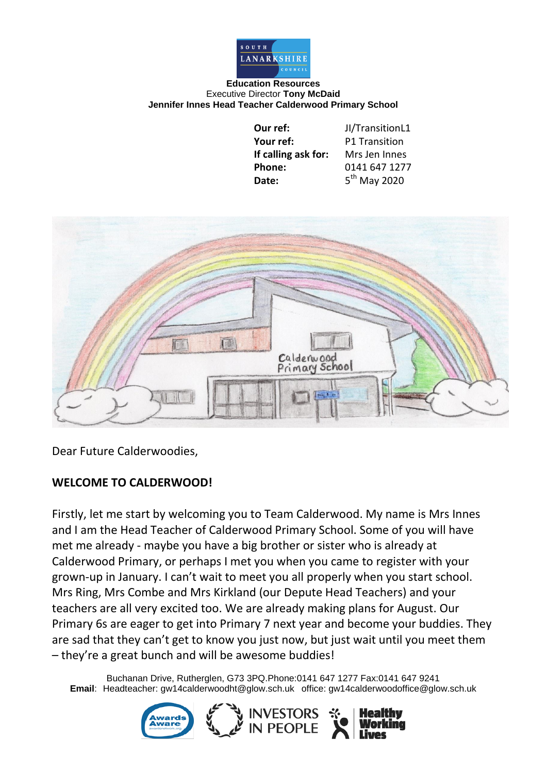

## **Education Resources** Executive Director **Tony McDaid Jennifer Innes Head Teacher Calderwood Primary School**

| Our ref:            | JI/TransitionL1      |
|---------------------|----------------------|
| Your ref:           | <b>P1 Transition</b> |
| If calling ask for: | Mrs Jen Innes        |
| Phone:              | 0141 647 1277        |
| Date:               | $5th$ May 2020       |



Dear Future Calderwoodies,

## **WELCOME TO CALDERWOOD!**

Firstly, let me start by welcoming you to Team Calderwood. My name is Mrs Innes and I am the Head Teacher of Calderwood Primary School. Some of you will have met me already - maybe you have a big brother or sister who is already at Calderwood Primary, or perhaps I met you when you came to register with your grown-up in January. I can't wait to meet you all properly when you start school. Mrs Ring, Mrs Combe and Mrs Kirkland (our Depute Head Teachers) and your teachers are all very excited too. We are already making plans for August. Our Primary 6s are eager to get into Primary 7 next year and become your buddies. They are sad that they can't get to know you just now, but just wait until you meet them – they're a great bunch and will be awesome buddies!

Buchanan Drive, Rutherglen, G73 3PQ.Phone:0141 647 1277 Fax:0141 647 9241 **Email**: Headteacher: gw14calderwoodht@glow.sch.uk office: gw14calderwoodoffice@glow.sch.uk